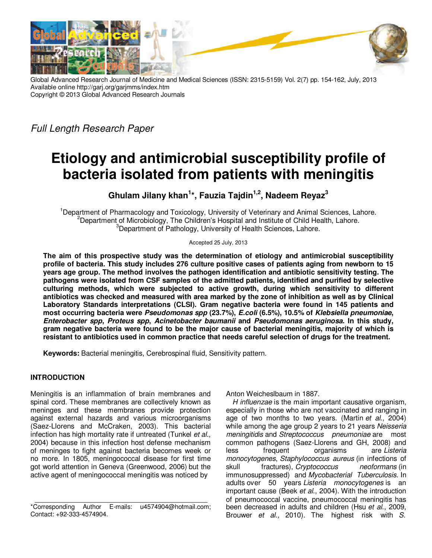

Global Advanced Research Journal of Medicine and Medical Sciences (ISSN: 2315-5159) Vol. 2(7) pp. 154-162, July, 2013 Available online http://garj.org/garjmms/index.htm Copyright © 2013 Global Advanced Research Journals

*Full Length Research Paper*

# **Etiology and antimicrobial susceptibility profile of bacteria isolated from patients with meningitis**

**Ghulam Jilany khan<sup>1</sup> \*, Fauzia Tajdin1,2, Nadeem Reyaz<sup>3</sup>**

<sup>1</sup>Department of Pharmacology and Toxicology, University of Veterinary and Animal Sciences, Lahore. <sup>2</sup>Department of Microbiology, The Children's Hospital and Institute of Child Health, Lahore. <sup>3</sup>Department of Pathology, University of Health Sciences, Lahore.

Accepted 25 July, 2013

**The aim of this prospective study was the determination of etiology and antimicrobial susceptibility profile of bacteria. This study includes 276 culture positive cases of patients aging from newborn to 15 years age group. The method involves the pathogen identification and antibiotic sensitivity testing. The pathogens were isolated from CSF samples of the admitted patients, identified and purified by selective culturing methods, which were subjected to active growth, during which sensitivity to different antibiotics was checked and measured with area marked by the zone of inhibition as well as by Clinical Laboratory Standards interpretations (CLSI). Gram negative bacteria were found in 145 patients and most occurring bacteria were Pseudomonas spp (23.7%), E.coli (6.5%), 10.5% of Klebsiella pneumoniae, Enterobacter spp, Proteus spp, Acinetobacter baumanii and Pseudomonas aeruginosa. In this study, gram negative bacteria were found to be the major cause of bacterial meningitis, majority of which is resistant to antibiotics used in common practice that needs careful selection of drugs for the treatment.** 

**Keywords:** Bacterial meningitis, Cerebrospinal fluid, Sensitivity pattern.

# **INTRODUCTION**

Meningitis is an inflammation of brain membranes and spinal cord. These membranes are collectively known as meninges and these membranes provide protection against external hazards and various microorganisms (Saez-Llorens and McCraken, 2003). This bacterial infection has high mortality rate if untreated (Tunkel *et al.,* 2004) because in this infection host defense mechanism of meninges to fight against bacteria becomes week or no more. In 1805, meningococcal disease for first time got world attention in Geneva (Greenwood, 2006) but the active agent of meningococcal meningitis was noticed by

Anton Weicheslbaum in 1887.

*H influenzae* is the main important causative organism, especially in those who are not vaccinated and ranging in age of two months to two years. (Martin *et al*., 2004) while among the age group 2 years to 21 years *Neisseria meningitidis* and *Streptococcus pneumoniae* are most common pathogens (Saez-Llorens and GH, 2008) and<br>less frequent organisms are Listeria less frequent organisms are *Listeria monocytogenes*, *Staphylococcus aureus* (in infections of skull fractures), *Cryptococcus neoformans* (in immunosuppressed) and *Mycobacterial Tuberculosis*. In adults over 50 years *Listeria monocytogenes* is an important cause (Beek *et al*., 2004). With the introduction of pneumococcal vaccine, pneumococcal meningitis has been decreased in adults and children (Hsu *et al*., 2009, Brouwer *et al.,* 2010). The highest risk with *S.* 

<sup>\*</sup>Corresponding Author E-mails: u4574904@hotmail.com; Contact: +92-333-4574904.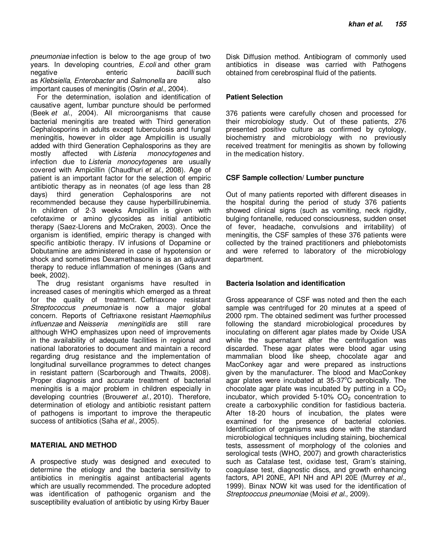*pneumoniae* infection is below to the age group of two years. In developing countries*, E.coli* and other gram negative enteric *bacilli* such as *Klebsiella*, *Enterobacter* and *Salmonella* are important causes of meningitis (Osrin *et al*., 2004).

For the determination, isolation and identification of causative agent, lumbar puncture should be performed (Beek *et al*., 2004). All microorganisms that cause bacterial meningitis are treated with Third generation Cephalosporins in adults except tuberculosis and fungal meningitis, however in older age Ampicillin is usually added with third Generation Cephalosporins as they are mostly affected with *Listeria monocytogenes* and infection due to *Listeria monocytogenes* are usually covered with Ampicillin (Chaudhuri *et al.,* 2008). Age of patient is an important factor for the selection of empiric antibiotic therapy as in neonates (of age less than 28 days) third generation Cephalosporins are not recommended because they cause hyperbillirubinemia. In children of 2-3 weeks Ampicillin is given with cefotaxime or amino glycosides as initial antibiotic therapy (Saez-Llorens and McCraken, 2003). Once the organism is identified, empiric therapy is changed with specific antibiotic therapy. IV infusions of Dopamine or Dobutamine are administered in case of hypotension or shock and sometimes Dexamethasone is as an adjuvant therapy to reduce inflammation of meninges (Gans and beek, 2002).

The drug resistant organisms have resulted in increased cases of meningitis which emerged as a threat for the quality of treatment. Ceftriaxone resistant *Streptococcus pneumoniae* is now a major global concern. Reports of Ceftriaxone resistant *Haemophilus influenzae* and *Neisseria meningitidis* are still rare although WHO emphasizes upon need of improvements in the availability of adequate facilities in regional and national laboratories to document and maintain a record regarding drug resistance and the implementation of longitudinal surveillance programmes to detect changes in resistant pattern (Scarborough and Thwaits, 2008). Proper diagnosis and accurate treatment of bacterial meningitis is a major problem in children especially in developing countries (Brouwer*et al.,* 2010). Therefore, determination of etiology and antibiotic resistant pattern of pathogens is important to improve the therapeutic success of antibiotics (Saha *et al.,* 2005).

#### **MATERIAL AND METHOD**

A prospective study was designed and executed to determine the etiology and the bacteria sensitivity to antibiotics in meningitis against antibacterial agents which are usually recommended. The procedure adopted was identification of pathogenic organism and the susceptibility evaluation of antibiotic by using Kirby Bauer

Disk Diffusion method. Antibiogram of commonly used antibiotics in disease was carried with Pathogens obtained from cerebrospinal fluid of the patients.

## **Patient Selection**

376 patients were carefully chosen and processed for their microbiology study. Out of these patients, 276 presented positive culture as confirmed by cytology, biochemistry and microbiology with no previously received treatment for meningitis as shown by following in the medication history.

#### **CSF Sample collection/ Lumber puncture**

Out of many patients reported with different diseases in the hospital during the period of study 376 patients showed clinical signs (such as vomiting, neck rigidity, bulging fontanelle, reduced consciousness, sudden onset of fever, headache, convulsions and irritability) of meningitis, the CSF samples of these 376 patients were collected by the trained practitioners and phlebotomists and were referred to laboratory of the microbiology department.

#### **Bacteria Isolation and identification**

Gross appearance of CSF was noted and then the each sample was centrifuged for 20 minutes at a speed of 2000 rpm. The obtained sediment was further processed following the standard microbiological procedures by inoculating on different agar plates made by Oxide USA while the supernatant after the centrifugation was discarded. These agar plates were blood agar using mammalian blood like sheep, chocolate agar and MacConkey agar and were prepared as instructions given by the manufacturer. The blood and MacConkey agar plates were incubated at  $35-37^{\circ}$ C aerobically. The chocolate agar plate was incubated by putting in a  $CO<sub>2</sub>$ incubator, which provided  $5-10\%$  CO<sub>2</sub> concentration to create a carboxyphilic condition for fastidious bacteria. After 18-20 hours of incubation, the plates were examined for the presence of bacterial colonies. Identification of organisms was done with the standard microbiological techniques including staining, biochemical tests, assessment of morphology of the colonies and serological tests (WHO, 2007) and growth characteristics such as Catalase test, oxidase test, Gram's staining, coagulase test, diagnostic discs, and growth enhancing factors, API 20NE, API NH and API 20E (Murrey *et al.,* 1999). Binax NOW kit was used for the identification of *Streptooccus pneumoniae* (Moisi *et al.,* 2009).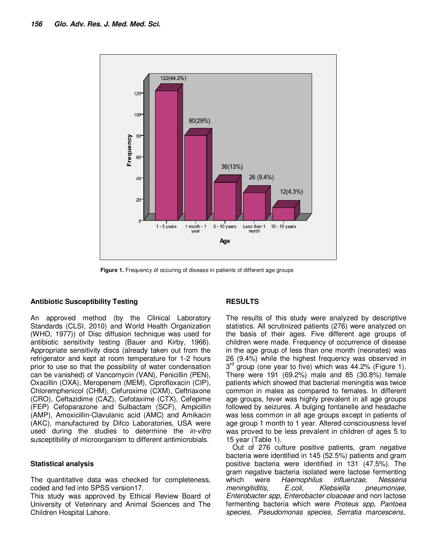

**Figure 1.** Frequency of occuring of disease in patients of different age groups

#### **Antibiotic Susceptibility Testing**

An approved method (by the Clinical Laboratory Standards (CLSI, 2010) and World Health Organization (WHO, 1977)) of Disc diffusion technique was used for antibiotic sensitivity testing (Bauer and Kirby, 1966). Appropriate sensitivity discs (already taken out from the refrigerator and kept at room temperature for 1-2 hours prior to use so that the possibility of water condensation can be vanished) of Vancomycin (VAN), Penicillin (PEN), Oxacillin (OXA), Meropenem (MEM), Ciprofloxacin (CIP), Chloremphenicol (CHM), Cefuroxime (CXM), Ceftriaxone (CRO), Ceftazidime (CAZ), Cefotaxime (CTX), Cefepime (FEP) Cefoparazone and Sulbactam (SCF), Ampicillin (AMP), Amoxicillin-Clavulanic acid (AMC) and Amikacin (AKC), manufactured by Difco Laboratories, USA were used during the studies to determine the *in-vitro* susceptibility of microorganism to different antimicrobials.

#### **Statistical analysis**

The quantitative data was checked for completeness, coded and fed into SPSS version17.

This study was approved by Ethical Review Board of University of Veterinary and Animal Sciences and The Children Hospital Lahore.

# **RESULTS**

The results of this study were analyzed by descriptive statistics. All scrutinized patients (276) were analyzed on the basis of their ages. Five different age groups of children were made. Frequency of occurrence of disease in the age group of less than one month (neonates) was 26 (9.4%) while the highest frequency was observed in 3<sup>rd</sup> group (one year to five) which was 44.2% (Figure 1). There were 191 (69.2%) male and 85 (30.8%) female patients which showed that bacterial meningitis was twice common in males as compared to females. In different age groups, fever was highly prevalent in all age groups followed by seizures. A bulging fontanelle and headache was less common in all age groups except in patients of age group 1 month to 1 year. Altered consciousness level was proved to be less prevalent in children of ages 5 to 15 year (Table 1).

Out of 276 culture positive patients, gram negative bacteria were identified in 145 (52.5%) patients and gram positive bacteria were identified in 131 (47.5%). The gram negative bacteria isolated were lactose fermenting which were *Haemophilus influenzae, Nesseria meningitiditis, E.coli, Klebsiella pneumoniae, Enterobacter spp, Enterobacter cloaceae* and non lactose fermenting bacteria which were *Proteus spp, Pantoea species, Pseudomonas species, Serratia marcescens,*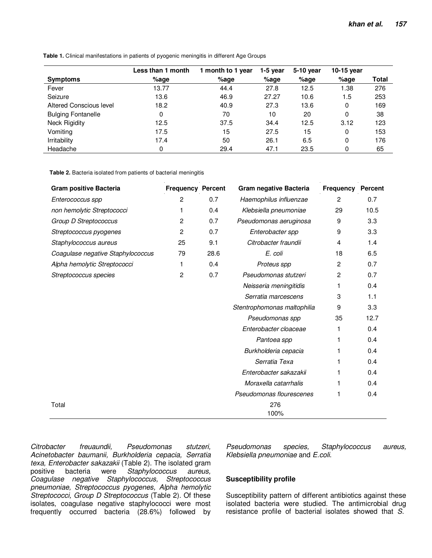| <b>Symptoms</b>           | Less than 1 month<br>%age | 1 month to 1 year<br>$%$ age | 1-5 vear<br>%age | 5-10 year<br>$%$ age | 10-15 year<br>$%$ age | Total |
|---------------------------|---------------------------|------------------------------|------------------|----------------------|-----------------------|-------|
| Fever                     | 13.77                     | 44.4                         | 27.8             | 12.5                 | 1.38                  | 276   |
| Seizure                   | 13.6                      | 46.9                         | 27.27            | 10.6                 | 1.5                   | 253   |
| Altered Conscious level   | 18.2                      | 40.9                         | 27.3             | 13.6                 | 0                     | 169   |
| <b>Bulging Fontanelle</b> | 0                         | 70                           | 10               | 20                   | 0                     | 38    |
| <b>Neck Rigidity</b>      | 12.5                      | 37.5                         | 34.4             | 12.5                 | 3.12                  | 123   |
| Vomiting                  | 17.5                      | 15                           | 27.5             | 15                   | 0                     | 153   |
| <b>Irritability</b>       | 17.4                      | 50                           | 26.1             | 6.5                  | 0                     | 176   |
| Headache                  | 0                         | 29.4                         | 47.1             | 23.5                 | 0                     | 65    |

**Table 1.** Clinical manifestations in patients of pyogenic meningitis in different Age Groups

**Table 2.** Bacteria isolated from patients of bacterial meningitis

| <b>Gram positive Bacteria</b>     | <b>Frequency Percent</b> |      | Gram negative Bacteria      | <b>Frequency</b> | <b>Percent</b> |  |
|-----------------------------------|--------------------------|------|-----------------------------|------------------|----------------|--|
| Enterococcus spp                  | 2                        | 0.7  | Haemophilus influenzae      | $\overline{2}$   | 0.7            |  |
| non hemolytic Streptococci        | 1                        | 0.4  | Klebsiella pneumoniae       | 29               | 10.5           |  |
| Group D Streptococcus             | 2                        | 0.7  | Pseudomonas aeruginosa      | 9                | 3.3            |  |
| Streptococcus pyogenes            | 2                        | 0.7  | Enterobacter spp            | 9                | 3.3            |  |
| Staphylococcus aureus             | 25                       | 9.1  | Citrobacter fraundii        | 4                | 1.4            |  |
| Coagulase negative Staphylococcus | 79                       | 28.6 | E. coli                     | 18               | 6.5            |  |
| Alpha hemolytic Streptococci      | 1                        | 0.4  | Proteus spp                 | $\overline{c}$   | 0.7            |  |
| Streptococcus species             | 2                        | 0.7  | Pseudomonas stutzeri        | 2                | 0.7            |  |
|                                   |                          |      | Neisseria meningitidis      | 1                | 0.4            |  |
|                                   |                          |      | Serratia marcescens         | 3                | 1.1            |  |
|                                   |                          |      | Stentrophomonas maltophilia | 9                | 3.3            |  |
|                                   |                          |      | Pseudomonas spp             | 35               | 12.7           |  |
|                                   |                          |      | Enterobacter cloaceae       |                  | 0.4            |  |
|                                   |                          |      | Pantoea spp                 | 1                | 0.4            |  |
|                                   |                          |      | Burkholderia cepacia        |                  | 0.4            |  |
|                                   |                          |      | Serratia Texa               | 1                | 0.4            |  |
|                                   |                          |      | Enterobacter sakazakii      |                  | 0.4            |  |
|                                   |                          |      | Moraxella catarrhalis       |                  | 0.4            |  |
|                                   |                          |      | Pseudomonas flourescenes    |                  | 0.4            |  |
| Total                             |                          |      | 276<br>100%                 |                  |                |  |

*Citrobacter freuaundii, Pseudomonas stutzeri, Acinetobacter baumanii, Burkholderia cepacia, Serratia texa, Enterobacter sakazakii* (Table 2). The isolated gram positive bacteria were *Staphylococcus aureus, Coagulase negative Staphylococcus, Streptococcus pneumoniae, Streptococcus pyogenes, Alpha hemolytic Streptococci, Group D Streptococcus* (Table 2)*.* Of these isolates, coagulase negative staphylococci were most frequently occurred bacteria (28.6%) followed by

*Pseudomonas species, Staphylococcus aureus, Klebsiella pneumoniae* and *E.coli*.

### **Susceptibility profile**

Susceptibility pattern of different antibiotics against these isolated bacteria were studied. The antimicrobial drug resistance profile of bacterial isolates showed that *S.*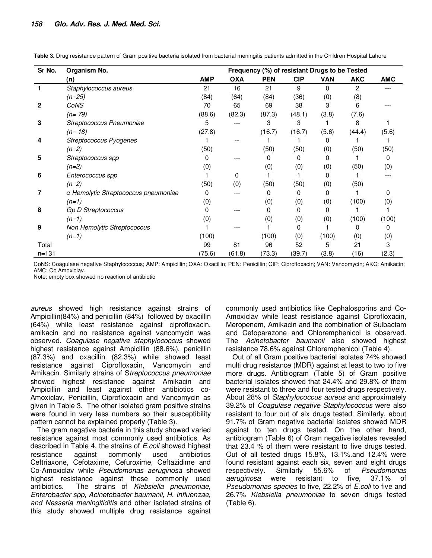| Sr No.    | Organism No.                         | Frequency (%) of resistant Drugs to be Tested |            |            |            |            |            |            |  |
|-----------|--------------------------------------|-----------------------------------------------|------------|------------|------------|------------|------------|------------|--|
|           | (n)                                  | <b>AMP</b>                                    | <b>OXA</b> | <b>PEN</b> | <b>CIP</b> | <b>VAN</b> | <b>AKC</b> | <b>AMC</b> |  |
|           | Staphylococcus aureus                | 21                                            | 16         | 21         | 9          | $\Omega$   | 2          |            |  |
|           | $(n=25)$                             | (84)                                          | (64)       | (84)       | (36)       | (0)        | (8)        |            |  |
| 2         | CoNS                                 | 70                                            | 65         | 69         | 38         | 3          | 6          |            |  |
|           | $(n=79)$                             | (88.6)                                        | (82.3)     | (87.3)     | (48.1)     | (3.8)      | (7.6)      |            |  |
| з         | Streptococcus Pneumoniae             | 5                                             |            | 3          | 3          |            | 8          |            |  |
|           | $(n=18)$                             | (27.8)                                        |            | (16.7)     | (16.7)     | (5.6)      | (44.4)     | (5.6)      |  |
| 4         | Streptococcus Pyogenes               |                                               | --         |            |            | 0          |            |            |  |
|           | $(n=2)$                              | (50)                                          |            | (50)       | (50)       | (0)        | (50)       | (50)       |  |
| 5         | Streptococcus spp                    | 0                                             |            | 0          | 0          | 0          |            | 0          |  |
|           | $(n=2)$                              | (0)                                           |            | (0)        | (0)        | (0)        | (50)       | (0)        |  |
| 6         | Enterococcus spp                     |                                               | 0          |            |            | 0          |            |            |  |
|           | $(n=2)$                              | (50)                                          | (0)        | (50)       | (50)       | (0)        | (50)       |            |  |
|           | a Hemolytic Streptococcus pneumoniae | 0                                             |            | 0          | 0          | 0          |            | ŋ          |  |
|           | $(n=1)$                              | (0)                                           |            | (0)        | (0)        | (0)        | (100)      | (0)        |  |
| 8         | Gp D Streptococcus                   | 0                                             |            | 0          | 0          | 0          |            |            |  |
|           | $(n=1)$                              | (0)                                           |            | (0)        | (0)        | (0)        | (100)      | (100)      |  |
| 9         | Non Hemolytic Streptococcus          |                                               |            |            | 0          |            | 0          | O)         |  |
|           | $(n=1)$                              | (100)                                         |            | (100)      | (0)        | (100)      | (0)        | (0)        |  |
| Total     |                                      | 99                                            | 81         | 96         | 52         | 5          | 21         | 3          |  |
| $n = 131$ |                                      | (75.6)                                        | (61.8)     | (73.3)     | (39.7)     | (3.8)      | (16)       | (2.3)      |  |

**Table 3.** Drug resistance pattern of Gram positive bacteria isolated from bacterial meningitis patients admitted in the Children Hospital Lahore

CoNS: Coagulase negative Staphylococcus; AMP: Ampicillin; OXA: Oxacillin; PEN: Penicillin; CIP: Ciprofloxacin; VAN: Vancomycin; AKC: Amikacin; AMC: Co Amoxiclav.

Note: empty box showed no reaction of antibiotic

*aureus* showed high resistance against strains of Ampicillin(84%) and penicillin (84%) followed by oxacillin (64%) while least resistance against ciprofloxacin, amikacin and no resistance against vancomycin was observed. *Coagulase negative staphylococcus* showed highest resistance against Ampicillin (88.6%), penicillin (87.3%) and oxacillin (82.3%) while showed least resistance against Ciprofloxacin, Vancomycin and Amikacin. Similarly strains of S*treptococcus pneumoniae* showed highest resistance against Amikacin and Ampicillin and least against other antibiotics co-Amoxiclav, Penicillin, Ciprofloxacin and Vancomycin as given in Table 3. The other isolated gram positive strains were found in very less numbers so their susceptibility pattern cannot be explained properly (Table 3).

The gram negative bacteria in this study showed varied resistance against most commonly used antibiotics. As described in Table 4, the strains of *E.coli* showed highest resistance against commonly used antibiotics Ceftriaxone, Cefotaxime, Cefuroxime, Ceftazidime and Co-Amoxiclav while *Pseudomonas aeruginosa* showed highest resistance against these commonly used antibiotics. The strains of *Klebsiella pneumoniae, Enterobacter spp, Acinetobacter baumanii, H. Influenzae, and Nesseria meningitiditis* and other isolated strains of this study showed multiple drug resistance against

commonly used antibiotics like Cephalosporins and Co-Amoxiclav while least resistance against Ciprofloxacin, Meropenem, Amikacin and the combination of Sulbactam and Cefoparazone and Chloremphenicol is observed. The *Acinetobacter baumanii* also showed highest resistance 78.6% against Chloremphenicol (Table 4).

Out of all Gram positive bacterial isolates 74% showed multi drug resistance (MDR) against at least to two to five more drugs. Antibiogram (Table 5) of Gram positive bacterial isolates showed that 24.4% and 29.8% of them were resistant to three and four tested drugs respectively. About 28% of *Staphylococcus aureus* and approximately 39.2% of *Coagulase negative Staphylococcus* were also resistant to four out of six drugs tested. Similarly, about 91.7% of Gram negative bacterial isolates showed MDR against to ten drugs tested. On the other hand, antibiogram (Table 6) of Gram negative isolates revealed that 23.4 % of them were resistant to five drugs tested. Out of all tested drugs 15.8%, 13.1%.and 12.4% were found resistant against each six, seven and eight drugs respectively. Similarly 55.6% of *Pseudomonas aeruginosa* were resistant to five, 37.1% of *Pseudomonas species* to five, 22.2% of *E.coli* to five and 26.7% *Klebsiella pneumoniae* to seven drugs tested (Table 6).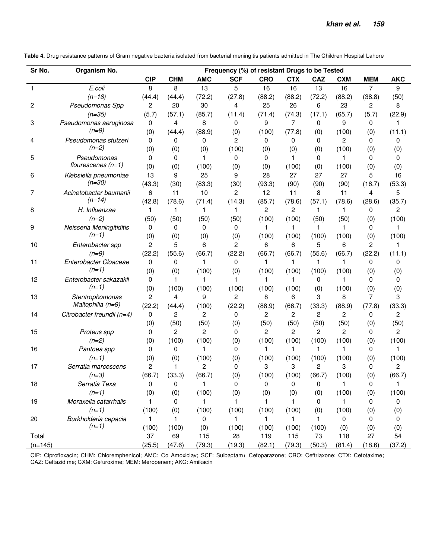**Table 4.** Drug resistance patterns of Gram negative bacteria isolated from bacterial meningitis patients admitted in The Children Hospital Lahore

| Sr No.    | Organism No.               | Frequency (%) of resistant Drugs to be Tested |                |                |                |              |                |                |              |                |            |
|-----------|----------------------------|-----------------------------------------------|----------------|----------------|----------------|--------------|----------------|----------------|--------------|----------------|------------|
|           |                            | <b>CIP</b>                                    | <b>CHM</b>     | <b>AMC</b>     | <b>SCF</b>     | <b>CRO</b>   | <b>CTX</b>     | CAZ            | <b>CXM</b>   | <b>MEM</b>     | <b>AKC</b> |
| 1         | E.coli                     | 8                                             | 8              | 13             | 5              | 16           | 16             | 13             | 16           | $\overline{7}$ | 9          |
|           | $(n=18)$                   | (44.4)                                        | (44.4)         | (72.2)         | (27.8)         | (88.2)       | (88.2)         | (72.2)         | (88.2)       | (38.8)         | (50)       |
| 2         | Pseudomonas Spp            | 2                                             | 20             | 30             | 4              | 25           | 26             | 6              | 23           | 2              | 8          |
|           | $(n=35)$                   | (5.7)                                         | (57.1)         | (85.7)         | (11.4)         | (71.4)       | (74.3)         | (17.1)         | (65.7)       | (5.7)          | (22.9)     |
| 3         | Pseudomonas aeruginosa     | 0                                             | 4              | 8              | 0              | 9            | 7              | 0              | 9            | 0              | 1          |
|           | $(n=9)$                    | (0)                                           | (44.4)         | (88.9)         | (0)            | (100)        | (77.8)         | (0)            | (100)        | (0)            | (11.1)     |
| 4         | Pseudomonas stutzeri       | 0                                             | 0              | 0              | $\overline{2}$ | 0            | 0              | $\Omega$       | 2            | 0              | 0          |
|           | $(n=2)$                    | (0)                                           | (0)            | (0)            | (100)          | (0)          | (0)            | (0)            | (100)        | (0)            | (0)        |
| 5         | Pseudomonas                | 0                                             | 0              | 1              | 0              | 0            | 1              | $\Omega$       | 1            | 0              | 0          |
|           | flourescenes $(n=1)$       | (0)                                           | (0)            | (100)          | (0)            | (0)          | (100)          | (0)            | (100)        | (0)            | (0)        |
| 6         | Klebsiella pneumoniae      | 13                                            | 9              | 25             | 9              | 28           | 27             | 27             | 27           | 5              | 16         |
|           | $(n=30)$                   | (43.3)                                        | (30)           | (83.3)         | (30)           | (93.3)       | (90)           | (90)           | (90)         | (16.7)         | (53.3)     |
| 7         | Acinetobacter baumanii     | 6                                             | 11             | 10             | 2              | 12           | 11             | 8              | 11           | 4              | 5          |
|           | $(n=14)$                   | (42.8)                                        | (78.6)         | (71.4)         | (14.3)         | (85.7)       | (78.6)         | (57.1)         | (78.6)       | (28.6)         | (35.7)     |
| 8         | H. Influenzae              | 1                                             | 1              | 1              | 1              | 2            | $\overline{c}$ | $\mathbf{1}$   | $\mathbf{1}$ | 0              | 2          |
|           | $(n=2)$                    | (50)                                          | (50)           | (50)           | (50)           | (100)        | (100)          | (50)           | (50)         | (0)            | (100)      |
| 9         | Neisseria Meningitiditis   | 0                                             | 0              | 0              | 0              | 1            | 1              | $\mathbf{1}$   | 1            | 0              | 1          |
|           | $(n=1)$                    | (0)                                           | (0)            | (0)            | (0)            | (100)        | (100)          | (100)          | (100)        | (0)            | (100)      |
| 10        | Enterobacter spp           | $\mathbf{2}$                                  | 5              | 6              | $\overline{c}$ | 6            | 6              | 5              | 6            | 2              | 1          |
|           | $(n=9)$                    | (22.2)                                        | (55.6)         | (66.7)         | (22.2)         | (66.7)       | (66.7)         | (55.6)         | (66.7)       | (22.2)         | (11.1)     |
| 11        | Enterobacter Cloaceae      | 0                                             | 0              | 1              | 0              | 1            | 1              | 1              | 1            | 0              | 0          |
|           | $(n=1)$                    | (0)                                           | (0)            | (100)          | (0)            | (100)        | (100)          | (100)          | (100)        | (0)            | (0)        |
| 12        | Enterobacter sakazakii     | 0                                             | 1.             | 1              | 1              | 1            | $\mathbf 1$    | 0              | 1            | 0              | 0          |
|           | $(n=1)$                    | (0)                                           | (100)          | (100)          | (100)          | (100)        | (100)          | (0)            | (100)        | (0)            | (0)        |
| 13        | Stentrophomonas            | $\overline{2}$                                | 4              | 9              | $\overline{2}$ | 8            | 6              | 3              | 8            | 7              | 3          |
|           | Maltophilia (n=9)          | (22.2)                                        | (44.4)         | (100)          | (22.2)         | (88.9)       | (66.7)         | (33.3)         | (88.9)       | (77.8)         | (33.3)     |
| 14        | Citrobacter freundii (n=4) | 0                                             | 2              | $\overline{c}$ | 0              | 2            | $\overline{2}$ | $\overline{2}$ | 2            | 0              | 2          |
|           |                            | (0)                                           | (50)           | (50)           | (0)            | (50)         | (50)           | (50)           | (50)         | (0)            | (50)       |
| 15        | Proteus spp                | 0                                             | $\overline{c}$ | 2              | 0              | 2            | $\overline{c}$ | $\overline{2}$ | 2            | 0              | 2          |
|           | $(n=2)$                    | (0)                                           | (100)          | (100)          | (0)            | (100)        | (100)          | (100)          | (100)        | (0)            | (100)      |
| 16        | Pantoea spp                | 0                                             | 0              | 1              | 0              | 1            | 1              | $\mathbf{1}$   | 1            | 0              | 1          |
|           | $(n=1)$                    | (0)                                           | (0)            | (100)          | (0)            | (100)        | (100)          | (100)          | (100)        | (0)            | (100)      |
| 17        | Serratia marcescens        | 2                                             | 1              | 2              | $\Omega$       | 3            | 3              | $\overline{2}$ | 3            | 0              | 2          |
|           | $(n=3)$                    | (66.7)                                        | (33.3)         | (66.7)         | (0)            | (100)        | (100)          | (66.7)         | (100)        | (0)            | (66.7)     |
| 18        | Serratia Texa              | 0                                             | 0              | 1              | 0              | 0            | 0              | 0              | $\mathbf{1}$ | 0              | 1          |
|           | $(n=1)$                    | (0)                                           | (0)            | (100)          | (0)            | (0)          | (0)            | (0)            | (100)        | (0)            | (100)      |
| 19        | Moraxella catarrhalis      | 1                                             | 0              | $\mathbf{1}$   | 1              | $\mathbf{1}$ | $\mathbf{1}$   | 0              | 1            | 0              | 0          |
|           | $(n=1)$                    | (100)                                         | (0)            | (100)          | (100)          | (100)        | (100)          | (0)            | (100)        | (0)            | (0)        |
| 20        | Burkholderia cepacia       | 1                                             | 1.             | 0              | 1              | 1            | $\mathbf{1}$   | $\mathbf{1}$   | 0            | 0              | 0          |
|           | $(n=1)$                    | (100)                                         | (100)          | (0)            | (100)          | (100)        | (100)          | (100)          | (0)          | (0)            | (0)        |
| Total     |                            | 37                                            | 69             | 115            | 28             | 119          | 115            | 73             | 118          | 27             | 54         |
| $(n=145)$ |                            | (25.5)                                        | (47.6)         | (79.3)         | (19.3)         | (82.1)       | (79.3)         | (50.3)         | (81.4)       | (18.6)         | (37.2)     |

CIP: Ciprofloxacin; CHM: Chloremphenicol; AMC: Co Amoxiclav; SCF: Sulbactam+ Cefoparazone; CRO: Ceftriaxone; CTX: Cefotaxime; CAZ: Ceftazidime; CXM: Cefuroxime; MEM: Meropenem; AKC: Amikacin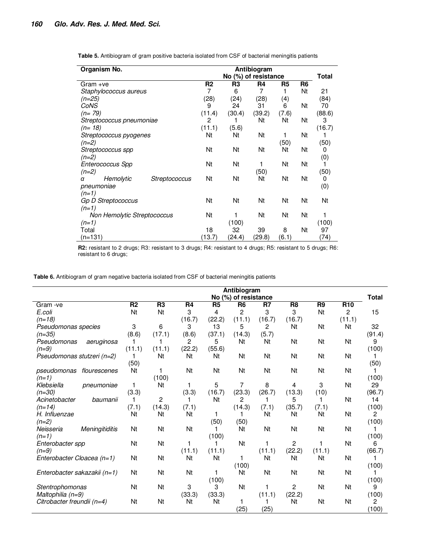| Organism No.                    |                |                |        |                |                |        |
|---------------------------------|----------------|----------------|--------|----------------|----------------|--------|
|                                 |                | Total          |        |                |                |        |
| Gram +ve                        | R <sub>2</sub> | R <sub>3</sub> | R4     | R <sub>5</sub> | R <sub>6</sub> |        |
| Staphylococcus aureus           | 7              | 6              | 7      |                | Nt             | 21     |
| (n=25)                          | (28)           | (24)           | (28)   | (4)            |                | (84)   |
| CoNS                            | 9              | 24             | 31     | 6              | Nt             | 70     |
| (n= 79)                         | (11.4)         | (30.4)         | (39.2) | (7.6)          |                | (88.6) |
| Streptococcus pneumoniae        | 2              |                | Nt     | Nt             | Nt             | 3      |
| $(n=18)$                        | (11.1)         | (5.6)          |        |                |                | (16.7) |
| Streptococcus pyogenes          | Nt             | Nt             | Nt     | 1              | Nt             |        |
| $(n=2)$                         |                |                |        | (50)           |                | (50)   |
| Streptococcus spp               | Nt             | Nt             | Nt     | Nt             | Nt             | 0      |
| $(n=2)$                         |                |                |        |                |                | (0)    |
| Enterococcus Spp                | Nt             | Nt             |        | Nt             | Nt             | 1      |
| $(n=2)$                         |                |                | (50)   |                |                | (50)   |
| Hemolytic<br>Streptococcus<br>α | Nt             | Nt             | Nt     | Nt             | Nt             | 0      |
| pneumoniae                      |                |                |        |                |                | (0)    |
| $(n=1)$                         |                |                |        |                |                |        |
| Gp D Streptococcus              | Nt             | Nt             | Νt     | Nt             | Nt             | Nt     |
| $(n=1)$                         |                |                |        |                |                |        |
| Non Hemolytic Streptococcus     | Nt             |                | Nt     | Nt             | Nt             | 1      |
| $(n=1)$                         |                | (100)          |        |                |                | (100)  |
| Total                           | 18             | 32             | 39     | 8              | Nt             | 97     |
| (n=131)                         | (13.7)         | (24.4)         | (29.8) | (6.1)          |                | (74)   |

**Table 5.** Antibiogram of gram positive bacteria isolated from CSF of bacterial meningitis patients

**R2:** resistant to 2 drugs; R3: resistant to 3 drugs; R4: resistant to 4 drugs; R5: resistant to 5 drugs; R6: resistant to 6 drugs;

**Table 6.** Antibiogram of gram negative bacteria isolated from CSF of bacterial meningitis patients

|                                    | Antibiogram    |                |                |                |                      |        |                |                |                 |                |
|------------------------------------|----------------|----------------|----------------|----------------|----------------------|--------|----------------|----------------|-----------------|----------------|
|                                    |                |                |                |                | No (%) of resistance |        |                |                |                 | <b>Total</b>   |
| Gram -ve                           | R <sub>2</sub> | R <sub>3</sub> | R <sub>4</sub> | R <sub>5</sub> | R <sub>6</sub>       | R7     | R <sub>8</sub> | R <sub>9</sub> | R <sub>10</sub> |                |
| E.coli                             | Nt             | Nt             | 3              | 4              | 2                    | 3      | 3              | Nt             | $\overline{2}$  | 15             |
| $(n=18)$                           |                |                | (16.7)         | (22.2)         | (11.1)               | (16.7) | (16.7)         |                | (11.1)          |                |
| Pseudomonas species                | 3              | 6              | 3              | 13             | 5                    | 2      | Nt             | Nt             | Nt              | 32             |
| $(n=35)$                           | (8.6)          | (17.1)         | (8.6)          | (37.1)         | (14.3)               | (5.7)  |                |                |                 | (91.4)         |
| Pseudomonas<br>aeruginosa          | 1              |                | 2              | 5              | Nt                   | Nt     | Nt             | Nt             | Nt              | 9              |
| $(n=9)$                            | (11.1)         | (11.1)         | (22.2)         | (55.6)         |                      |        |                |                |                 | (100)          |
| Pseudomonas stutzeri (n=2)         | 1              | Nt             | Nt             | Nt             | Nt                   | Nt     | Nt             | Nt             | Nt              |                |
|                                    | (50)           |                |                |                |                      |        |                |                |                 | (50)           |
| pseudomonas<br>flourescenes        | Nt             | 1              | Nt             | Nt             | Nt                   | Nt     | Nt             | Nt             | Nt              | 1              |
| $(n=1)$                            |                | (100)          |                |                |                      |        |                |                |                 | (100)          |
| Klebsiella<br>pneumoniae           | 1              | Nt             | 1              | 5              | 7                    | 8      | 4              | 3              | Nt              | 29             |
| $(n=30)$                           | (3.3)          |                | (3.3)          | (16.7)         | (23.3)               | (26.7) | (13.3)         | (10)           |                 | (96.7)         |
| Acinetobacter<br>baumanii          | 1              | $\overline{c}$ | 1              | Nt             | 2                    | 1      | 5              | 1              | Nt              | 14             |
| $(n=14)$                           | (7.1)          | (14.3)         | (7.1)          |                | (14.3)               | (7.1)  | (35.7)         | (7.1)          |                 | (100)          |
| H. Influenzae                      | Nt             | Nt             | Nt             | 1              |                      | Nt     | Nt             | Nt             | Nt              | $\overline{2}$ |
| $(n=2)$                            |                |                |                | (50)           | (50)                 |        |                |                |                 | (100)          |
| Neisseria<br><b>Meningitiditis</b> | Nt             | Nt             | Nt             |                | Nt                   | Nt     | Nt             | Nt             | Nt              |                |
| $(n=1)$                            |                |                |                | (100)          |                      |        |                |                |                 | (100)          |
| Enterobacter spp                   | Nt             | Nt             | 1              |                | Nt                   | 1      | $\overline{c}$ |                | Nt              | 6              |
| $(n=9)$                            |                |                | (11.1)         | (11.1)         |                      | (11.1) | (22.2)         | (11.1)         |                 | (66.7)         |
| Enterobacter Cloacea (n=1)         | Nt             | Nt             | Nt             | Nt             | 1                    | Nt     | Nt             | Nt             | Nt              | 1              |
|                                    |                |                |                |                | (100)                |        |                |                |                 | (100)          |
| Enterobacter sakazakii (n=1)       | Nt             | Nt             | Nt             |                | Nt                   | Nt     | Nt             | Nt             | Nt              | 1              |
|                                    |                |                |                | (100)          |                      |        |                |                |                 | (100)          |
| Stentrophomonas                    | <b>Nt</b>      | Nt             | 3              | 3              | Nt                   | 1      | $\overline{c}$ | Nt             | Nt              | 9              |
|                                    |                |                |                |                |                      | (11.1) | (22.2)         |                |                 |                |
| Maltophilia (n=9)                  | Nt             | Nt             | (33.3)<br>Nt   | (33.3)<br>Nt   | 1                    | 1      | Nt             | Nt             | Nt              | (100)<br>2     |
| Citrobacter freundii (n=4)         |                |                |                |                |                      |        |                |                |                 |                |
|                                    |                |                |                |                | (25)                 | (25)   |                |                |                 | (100)          |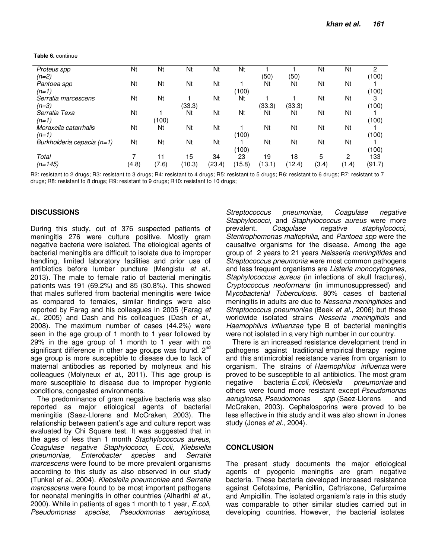|  | <b>Table 6. continue</b> |
|--|--------------------------|
|--|--------------------------|

| Proteus spp                | Nt    | Nt    | Nt     | Nt     | Nt     |        |        | Nt    | Nt    | 2      |
|----------------------------|-------|-------|--------|--------|--------|--------|--------|-------|-------|--------|
| (n=2)                      |       |       |        |        |        | (50)   | (50)   |       |       | (100)  |
| Pantoea spp                | Nt    | Nt    | Nt     | Nt     |        | Nt     | Nt     | Nt    | Nt    |        |
| $(n=1)$                    |       |       |        |        | (100)  |        |        |       |       | (100)  |
| Serratia marcescens        | Nt    | Nt    |        | Nt     | Nt     |        |        | Nt    | Nt    | 3      |
| $(n=3)$                    |       |       | (33.3) |        |        | (33.3) | (33.3) |       |       | (100)  |
| Serratia Texa              | Nt    |       | Nt     | Nt     | Nt     | Nt     | Nt     | Nt    | Nt    |        |
| $(n=1)$                    |       | (100) |        |        |        |        |        |       |       | (100)  |
| Moraxella catarrhalis      | Nt    | Nt    | Nt     | Nt     |        | Nt     | Nt     | Nt    | Nt    |        |
| $(n=1)$                    |       |       |        |        | (100)  |        |        |       |       | (100)  |
| Burkholderia cepacia (n=1) | Nt    | Nt    | Nt     | Nt     |        | Nt     | Nt     | Nt    | Nt    |        |
|                            |       |       |        |        | (100)  |        |        |       |       | (100)  |
| Total                      |       | 11    | 15     | 34     | 23     | 19     | 18     | 5     | 2     | 133    |
| $(n=145)$                  | (4.8) | (7.6) | (10.3) | (23.4) | (15.8) | (13.1) | (12.4) | (3.4) | (1.4) | (91.7) |

R2: resistant to 2 drugs; R3: resistant to 3 drugs; R4: resistant to 4 drugs; R5: resistant to 5 drugs; R6: resistant to 6 drugs; R7: resistant to 7 drugs; R8: resistant to 8 drugs; R9: resistant to 9 drugs; R10: resistant to 10 drugs;

#### **DISCUSSIONS**

During this study, out of 376 suspected patients of meningitis 276 were culture positive. Mostly gram negative bacteria were isolated. The etiological agents of bacterial meningitis are difficult to isolate due to improper handling, limited laboratory facilities and prior use of antibiotics before lumber puncture (Mengistu *et al.,* 2013). The male to female ratio of bacterial meningitis patients was 191 (69.2%) and 85 (30.8%). This showed that males suffered from bacterial meningitis were twice as compared to females, similar findings were also reported by Farag and his colleagues in 2005 (Farag *et al.,* 2005) and Dash and his colleagues (Dash *et al.,* 2008). The maximum number of cases (44.2%) were seen in the age group of 1 month to 1 year followed by 29% in the age group of 1 month to 1 year with no significant difference in other age groups was found. 2<sup>nd</sup> age group is more susceptible to disease due to lack of maternal antibodies as reported by molyneux and his colleagues (Molyneux *et al.,* 2011). This age group is more susceptible to disease due to improper hygienic conditions, congested environments.

The predominance of gram negative bacteria was also reported as major etiological agents of bacterial meningitis (Saez-Llorens and McCraken, 2003). The relationship between patient's age and culture report was evaluated by Chi Square test. It was suggested that in the ages of less than 1 month *Staphylococcus aureus, Coagulase negative Staphylococci*, *E.coli, Klebsiella pneumoniae, Enterobacter species* and *Serratia marcescens* were found to be more prevalent organisms according to this study as also observed in our study (Tunkel *et al.,* 2004). *Klebsiella pneumoniae* and *Serratia marcescens* were found to be most important pathogens for neonatal meningitis in other countries (Alharthi *et al.,* 2000). While in patients of ages 1 month to 1 year, *E.coli, Pseudomonas species, Pseudomonas aeruginosa,* 

*Streptococcus pneumoniae, Coagulase negative Staphylococci,* and *Staphylococcus aureus* were more prevalent. *Coagulase negative staphylococci, Stentrophomonas maltophilia*, and *Pantoea spp* were the causative organisms for the disease. Among the age group of 2 years to 21 years *Neisseria meningitides* and *Streptococcus pneumonia* were most common pathogens and less frequent organisms are *Listeria monocytogenes*, *Staphylococcus aureus* (in infections of skull fractures), *Cryptococcus neoformans* (in immunosuppressed) and M*ycobacterial Tuberculosis*. 80% cases of bacterial meningitis in adults are due to *Nesseria meningitides* and *Streptococcus pneumoniae* (Beek *et al.,* 2006) but these worldwide isolated strains *Nesseria meningitidis* and *Haemophilus influenzae* type B of bacterial meningitis were not isolated in a very high number in our country.

There is an increased resistance development trend in pathogens against traditional empirical therapy regime and this antimicrobial resistance varies from organism to organism. The strains of *Haemophilus influenza* were proved to be susceptible to all antibiotics. The most gram negative bacteria *E.coli, Klebsiella pneumoniae* and others were found more resistant except *Pseudomonas aeruginosa*, *Pseudomonas spp* (Saez-Llorens and McCraken, 2003). Cephalosporins were proved to be less effective in this study and it was also shown in Jones study (Jones *et al.,* 2004).

#### **CONCLUSION**

The present study documents the major etiological agents of pyogenic meningitis are gram negative bacteria. These bacteria developed increased resistance against Cefotaxime, Penicillin, Ceftriaxone, Cefuroxime and Ampicillin. The isolated organism's rate in this study was comparable to other similar studies carried out in developing countries. However, the bacterial isolates